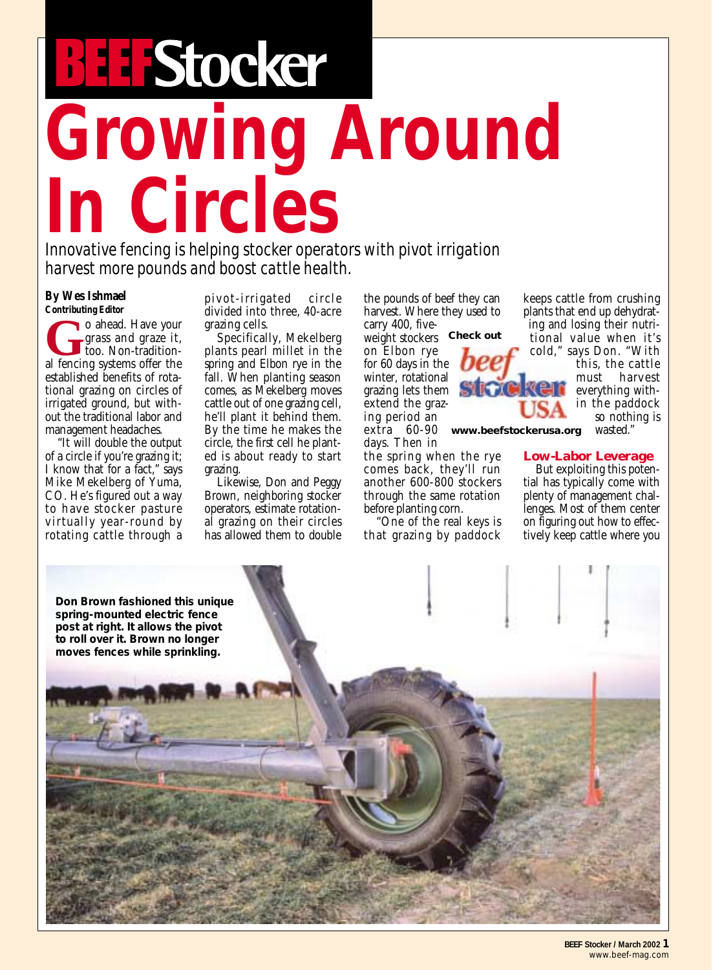## **Growing Around In Circles**

*Innovative fencing is helping stocker operators with pivot irrigation harvest more pounds and boost cattle health.*

## **By Wes Ishmael Contributing Editor**

**G**o ahead. Have your grass and graze it, too. Non-traditional fencing systems offer the established benefits of rotational grazing on circles of irrigated ground, but without the traditional labor and management headaches.

"It will double the output of a circle if you're grazing it; I know that for a fact," says Mike Mekelberg of Yuma, CO. He's figured out a way to have stocker pasture virtually year-round by rotating cattle through a pivot-irrigated circle divided into three, 40-acre grazing cells.

Specifically, Mekelberg plants pearl millet in the spring and Elbon rye in the fall. When planting season comes, as Mekelberg moves cattle out of one grazing cell, he'll plant it behind them. By the time he makes the circle, the first cell he planted is about ready to start grazing.

Likewise, Don and Peggy Brown, neighboring stocker operators, estimate rotational grazing on their circles has allowed them to double

the pounds of beef they can harvest. Where they used to carry 400, five-

weight stockers *Check out*

on Elbon rye for 60 days in the winter, rotational grazing lets them extend the grazing period an

extra 60-90 *www.beefstockerusa.org* days. Then in the spring when the rye comes back, they'll run

another 600-800 stockers through the same rotation before planting corn.

"One of the real keys is that grazing by paddock keeps cattle from crushing plants that end up dehydrating and losing their nutritional value when it's cold," says Don. "With

this, the cattle must harvest everything within the paddock so nothing is

wasted."

## **Low-Labor Leverage**

But exploiting this potential has typically come with plenty of management challenges. Most of them center on figuring out how to effectively keep cattle where you



**BEEF Stocker / March 2002 1** *www.beef-mag.com*